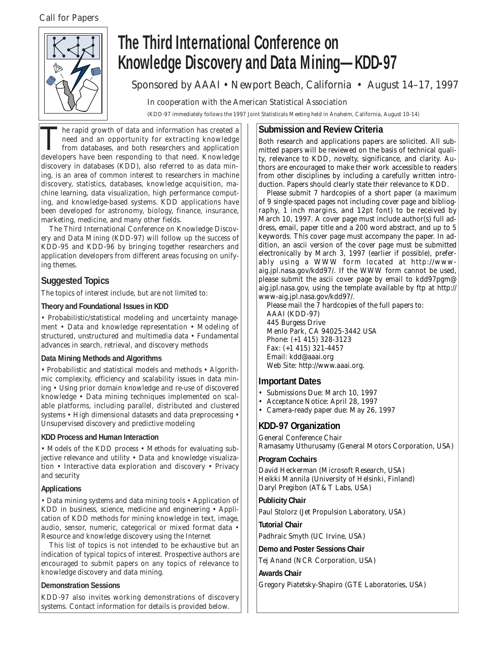*Call for Papers*



# **The Third International Conference on Knowledge Discovery and Data Mining—KDD-97**

Sponsored by AAAI • Newport Beach, California • August 14–17, 1997

In cooperation with the American Statistical Association

(KDD-97 immediately follows the 1997 Joint Statisticals Meeting held in Anaheim, California, August 10-14)

The rapid growth of data and information has created a<br>need and an opportunity for extracting knowledge<br>from databases, and both researchers and application<br>developers have been responding to that need Knowledge need and an opportunity for extracting knowledge from databases, and both researchers and application developers have been responding to that need. Knowledge discovery in databases (KDD), also referred to as *data mining,* is an area of common interest to researchers in machine discovery, statistics, databases, knowledge acquisition, machine learning, data visualization, high performance computing, and knowledge-based systems. KDD applications have been developed for astronomy, biology, finance, insurance, marketing, medicine, and many other fields.

The Third International Conference on Knowledge Discovery and Data Mining (KDD-97) will follow up the success of KDD-95 and KDD-96 by bringing together researchers and application developers from different areas focusing on unifying themes.

# **Suggested Topics**

The topics of interest include, but are not limited to:

# **Theory and Foundational Issues in KDD**

• Probabilistic/statistical modeling and uncertainty management • Data and knowledge representation • Modeling of structured, unstructured and multimedia data • Fundamental advances in search, retrieval, and discovery methods

# **Data Mining Methods and Algorithms**

• Probabilistic and statistical models and methods • Algorithmic complexity, efficiency and scalability issues in data mining • Using prior domain knowledge and re-use of discovered knowledge • Data mining techniques implemented on scalable platforms, including parallel, distributed and clustered systems • High dimensional datasets and data preprocessing • Unsupervised discovery and predictive modeling

# **KDD Process and Human Interaction**

• Models of the KDD process • Methods for evaluating subjective relevance and utility • Data and knowledge visualization • Interactive data exploration and discovery • Privacy and security

# **Applications**

• Data mining systems and data mining tools • Application of KDD in business, science, medicine and engineering • Application of KDD methods for mining knowledge in text, image, audio, sensor, numeric, categorical or mixed format data • Resource and knowledge discovery using the Internet

This list of topics is not intended to be exhaustive but an indication of typical topics of interest. Prospective authors are encouraged to submit papers on any topics of relevance to knowledge discovery and data mining.

# **Demonstration Sessions**

KDD-97 also invites working demonstrations of discovery systems. Contact information for details is provided below.

# **Submission and Review Criteria**

Both research and applications papers are solicited. All submitted papers will be reviewed on the basis of technical quality, relevance to KDD, novelty, significance, and clarity. Authors are encouraged to make their work accessible to readers from other disciplines by including a carefully written introduction. Papers should clearly state their relevance to KDD.

Please submit 7 hardcopies of a short paper (a maximum of 9 single-spaced pages not including cover page and bibliography, 1 inch margins, and 12pt font) to be received by March 10, 1997. A cover page must include author(s) full address, email, paper title and a 200 word abstract, and up to 5 keywords. This cover page must accompany the paper. In addition, an ascii version of the cover page must be submitted electronically by March 3, 1997 (earlier if possible), preferably using a WWW form located at http://wwwaig.jpl.nasa.gov/kdd97/. If the WWW form cannot be used, please submit the ascii cover page by email to kdd97pgm@ aig.jpl.nasa.gov, using the template available by ftp at http:// www-aig.jpl.nasa.gov/kdd97/.

Please mail the 7 hardcopies of the full papers to: AAAI (KDD-97) 445 Burgess Drive Menlo Park, CA 94025-3442 USA Phone: (+1 415) 328-3123 Fax: (+1 415) 321-4457 Email: kdd@aaai.org Web Site: http://www.aaai.org.

# **Important Dates**

- Submissions Due: March 10, 1997
- Acceptance Notice: April 28, 1997
- Camera-ready paper due: May 26, 1997

# **KDD-97 Organization**

General Conference Chair Ramasamy Uthurusamy (General Motors Corporation, USA)

#### **Program Cochairs**

David Heckerman (Microsoft Research, USA) Heikki Mannila (University of Helsinki, Finland) Daryl Pregibon (AT&T Labs, USA)

# **Publicity Chair**

Paul Stolorz (Jet Propulsion Laboratory, USA)

# **Tutorial Chair**

Padhraic Smyth (UC Irvine, USA)

**Demo and Poster Sessions Chair**

Tej Anand (NCR Corporation, USA)

#### **Awards Chair**

Gregory Piatetsky-Shapiro (GTE Laboratories, USA)